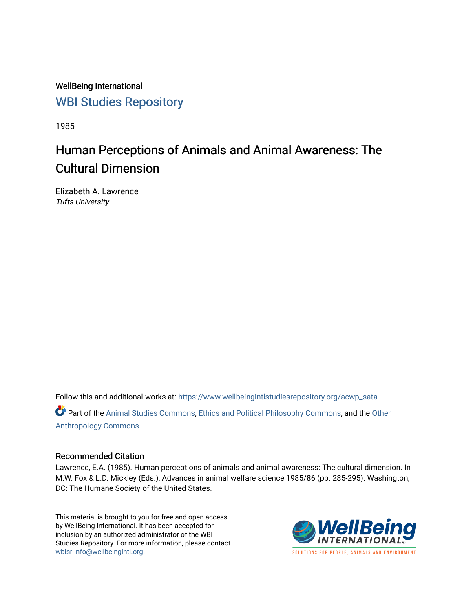WellBeing International [WBI Studies Repository](https://www.wellbeingintlstudiesrepository.org/)

1985

# Human Perceptions of Animals and Animal Awareness: The Cultural Dimension

Elizabeth A. Lawrence Tufts University

Follow this and additional works at: [https://www.wellbeingintlstudiesrepository.org/acwp\\_sata](https://www.wellbeingintlstudiesrepository.org/acwp_sata?utm_source=www.wellbeingintlstudiesrepository.org%2Facwp_sata%2F4&utm_medium=PDF&utm_campaign=PDFCoverPages) Part of the [Animal Studies Commons,](http://network.bepress.com/hgg/discipline/1306?utm_source=www.wellbeingintlstudiesrepository.org%2Facwp_sata%2F4&utm_medium=PDF&utm_campaign=PDFCoverPages) [Ethics and Political Philosophy Commons,](http://network.bepress.com/hgg/discipline/529?utm_source=www.wellbeingintlstudiesrepository.org%2Facwp_sata%2F4&utm_medium=PDF&utm_campaign=PDFCoverPages) and the [Other](http://network.bepress.com/hgg/discipline/324?utm_source=www.wellbeingintlstudiesrepository.org%2Facwp_sata%2F4&utm_medium=PDF&utm_campaign=PDFCoverPages) [Anthropology Commons](http://network.bepress.com/hgg/discipline/324?utm_source=www.wellbeingintlstudiesrepository.org%2Facwp_sata%2F4&utm_medium=PDF&utm_campaign=PDFCoverPages)

# Recommended Citation

Lawrence, E.A. (1985). Human perceptions of animals and animal awareness: The cultural dimension. In M.W. Fox & L.D. Mickley (Eds.), Advances in animal welfare science 1985/86 (pp. 285-295). Washington, DC: The Humane Society of the United States.

This material is brought to you for free and open access by WellBeing International. It has been accepted for inclusion by an authorized administrator of the WBI Studies Repository. For more information, please contact [wbisr-info@wellbeingintl.org](mailto:wbisr-info@wellbeingintl.org).



SOLUTIONS FOR PEOPLE. ANIMALS AND ENVIRONMENT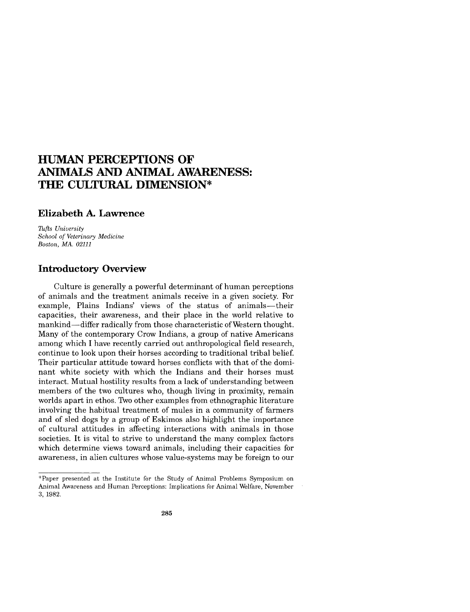# HUMAN **PERCEPTIONS OF ANIMALS AND ANIMAL AWARENESS: THE CULTURAL DIMENSION\***

## **Elizabeth A. Lawrence**

*Tufts University School of Veterinary Medicine Boston, MA. 02111* 

# **Introductory Overview**

Culture is generally a powerful determinant of human perceptions of animals and the treatment animals receive in a given society. Fbr example, Plains Indians' views of the status of animals-their capacities, their awareness, and their place in the world relative to mankind—differ radically from those characteristic of Western thought. Many of the contemporary Crow Indians, a group of native Americans among which I have recently carried out anthropological field research, continue to look upon their horses according to traditional tribal belief. Their particular attitude toward horses conflicts with that of the dominant white society with which the Indians and their horses must interact. Mutual hostility results from a lack of understanding between members of the two cultures who, though living in proximity, remain worlds apart in ethos. Two other examples from ethnographic literature involving the habitual treatment of mules in a community of farmers and of sled dogs by a group of Eskimos also highlight the importance of cultural attitudes in affecting interactions with animals in those societies. It is vital to strive to understand the many complex factors which determine views toward animals, including their capacities for awareness, in alien cultures whose value-systems may be foreign to our

<sup>\*</sup>Paper presented at the Institute for the Study of Animal Problems Symposium on Animal Awareness and Human Perceptions: Implications for Animal Welfare, November 3, 1982.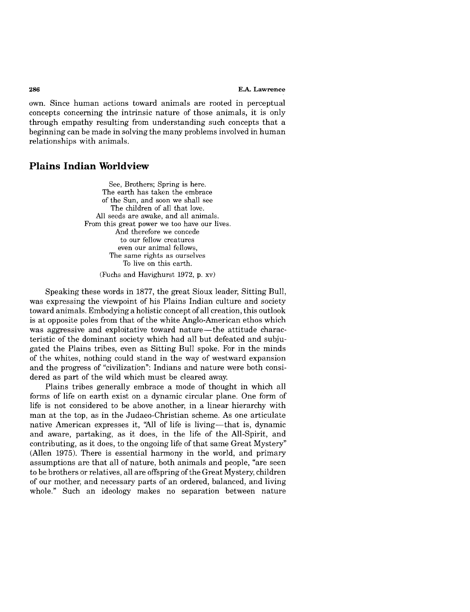own. Since human actions toward animals are rooted in perceptual concepts concerning the intrinsic nature of those animals, it is only through empathy resulting from understanding such concepts that a beginning can be made in solving the many problems involved in human relationships with animals.

# **Plains Indian Worldview**

See, Brothers; Spring is here. The earth has taken the embrace of the Sun, and soon we shall see The children of all that love. All seeds are awake, and all animals. From this great power we too have our lives. And therefore we concede to our fellow creatures even our animal fellows, The same rights as ourselves To live on this earth.

(Fuchs and Havighurst 1972, p. xv)

Speaking these words in 1877, the great Sioux leader, Sitting Bull, was expressing the viewpoint of his Plains Indian culture and society toward animals. Embodying a holistic concept of all creation, this outlook is at opposite poles from that of the white Anglo-American ethos which was aggressive and exploitative toward nature—the attitude characteristic of the dominant society which had all but defeated and subjugated the Plains tribes, even as Sitting Bull spoke. For in the minds of the whites, nothing could stand in the way of westward expansion and the progress of "civilization": Indians and nature were both considered as part of the wild which must be cleared away.

Plains tribes generally embrace a mode of thought in which all forms of life on earth exist on a dynamic circular plane. One form of life is not considered to be above another, in a linear hierarchy with man at the top, as in the Judaeo-Christian scheme. As one articulate native American expresses it, "All of life is living-that is, dynamic and aware, partaking, as it does, in the life of the All-Spirit, and contributing, as it does, to the ongoing life of that same Great Mystery" (Allen 1975). There is essential harmony in the world, and primary assumptions are that all of nature, both animals and people, "are seen to be brothers or relatives, all are offspring of the Great Mystery, children of our mother, and necessary parts of an ordered, balanced, and living whole." Such an ideology makes no separation between nature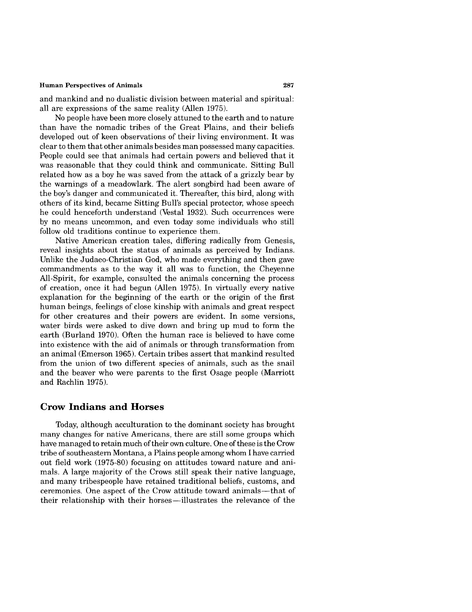and mankind and no dualistic division between material and spiritual: all are expressions of the same reality (Allen 1975).

No people have been more closely attuned to the earth and to nature than have the nomadic tribes of the Great Plains, and their beliefs developed out of keen observations of their living environment. It was clear to them that other animals besides man possessed many capacities. People could see that animals had certain powers and believed that it was reasonable that they could think and communicate. Sitting Bull related how as a boy he was saved from the attack of a grizzly bear by the warnings of a meadowlark. The alert songbird had been aware of the boy's danger and communicated it. Thereafter, this bird, along with others of its kind, became Sitting Bull's special protector, whose speech he could henceforth understand (Vestal 1932). Such occurrences were by no means uncommon, and even today some individuals who still follow old traditions continue to experience them.

Native American creation tales, differing radically from Genesis, reveal insights about the status of animals as perceived by Indians. Unlike the Judaeo-Christian God, who made everything and then gave commandments as to the way it all was to function, the Cheyenne All-Spirit, for example, consulted the animals concerning the process of creation, once it had begun (Allen 1975). In virtually every native explanation for the beginning of the earth or the origin of the first human beings, feelings of close kinship with animals and great respect for other creatures and their powers are evident. In some versions, water birds were asked to dive down and bring up mud to form the earth (Burland 1970). Often the human race is believed to have come into existence with the aid of animals or through transformation from an animal (Emerson 1965). Certain tribes assert that mankind resulted from the union of two different species of animals, such as the snail and the beaver who were parents to the first Osage people (Marriott and Rachlin 1975).

# **Crow Indians and Horses**

Today, although acculturation to the dominant society has brought many changes for native Americans, there are still some groups which have managed to retain much of their own culture. One of these is the Crow tribe of southeastern Montana, a Plains people among whom I have carried out field work (1975-80) focusing on attitudes toward nature and animals. A large majority of the Crows still speak their native language, and many tribespeople have retained traditional beliefs, customs, and ceremonies. One aspect of the Crow attitude toward animals-that of their relationship with their horses-illustrates the relevance of the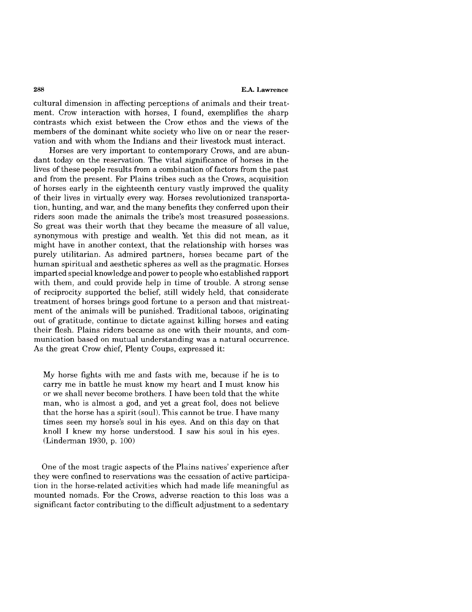### 288 E.A. Lawrence

cultural dimension in affecting perceptions of animals and their treatment. Crow interaction with horses, I found, exemplifies the sharp contrasts which exist between the Crow ethos and the views of the members of the dominant white society who live on or near the reservation and with whom the Indians and their livestock must interact.

Horses are very important to contemporary Crows, and are abundant today on the reservation. The vital significance of horses in the lives of these people results from a combination of factors from the past and from the present. For Plains tribes such as the Crows, acquisition of horses early in the eighteenth century vastly improved the quality of their lives in virtually every way. Horses revolutionized transportation, hunting, and war, and the many benefits they conferred upon their riders soon made the animals the tribe's most treasured possessions. So great was their worth that they became the measure of all value, synonymous with prestige and wealth. Yet this did not mean, as it might have in another context, that the relationship with horses was purely utilitarian. As admired partners, horses became part of the human spiritual and aesthetic spheres as well as the pragmatic. Horses imparted special knowledge and power to people who established rapport with them, and could provide help in time of trouble. A strong sense of reciprocity supported the belief, still widely held, that considerate treatment of horses brings good fortune to a person and that mistreatment of the animals will be punished. Traditional taboos, originating out of gratitude, continue to dictate against killing horses and eating their flesh. Plains riders became as one with their mounts, and communication based on mutual understanding was a natural occurrence. As the great Crow chief, Plenty Coups, expressed it:

My horse fights with me and fasts with me, because if he is to carry me in battle he must know my heart and I must know his or we shall never become brothers. I have been told that the white man, who is almost a god, and yet a great fool, does not believe that the horse has a spirit (soul). This cannot be true. I have many times seen my horse's soul in his eyes. And on this day on that knoll I knew my horse understood. I saw his soul in his eyes. (Linderman 1930, p. 100)

One of the most tragic aspects of the Plains natives' experience after they were confined to reservations was the cessation of active participation in the horse-related activities which had made life meaningful as mounted nomads. For the Crows, adverse reaction to this loss was a significant factor contributing to the difficult adjustment to a sedentary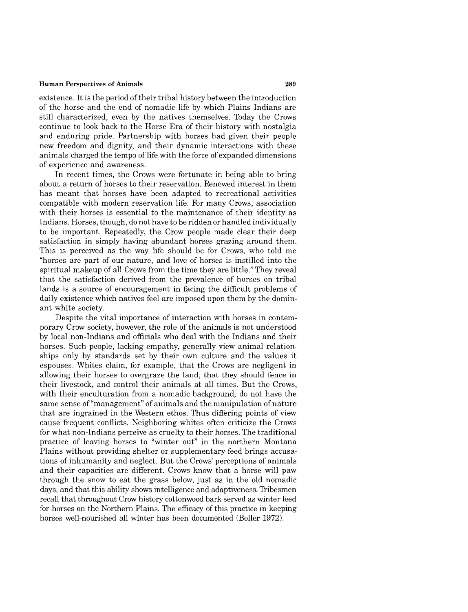existence. It is the period of their tribal history between the introduction of the horse and the end of nomadic life by which Plains Indians are still characterized, even by the natives themselves. Today the Crows continue to look back to the Horse Era of their history with nostalgia and enduring pride. Partnership with horses had given their people new freedom and dignity, and their dynamic interactions with these animals charged the tempo of life with the force of expanded dimensions of experience and awareness.

In recent times, the Crows were fortunate in being able to bring about a return of horses to their reservation. Renewed interest in them has meant that horses have been adapted to recreational activities compatible with modern reservation life. For many Crows, association with their horses is essential to the maintenance of their identity as Indians. Horses, though, do not have to be ridden or handled individually to be important. Repeatedly, the Crow people made clear their deep satisfaction in simply having abundant horses grazing around them. This is perceived as the way life should be for Crows, who told me "horses are part of our nature, and love of horses is instilled into the spiritual makeup of all Crows from the time they are little." They reveal that the satisfaction derived from the prevalence of horses on tribal lands is a source of encouragement in facing the difficult problems of daily existence which natives feel are imposed upon them by the dominant white society.

Despite the vital importance of interaction with horses in contemporary Crow society, however, the role of the animals is not understood by local non-Indians and officials who deal with the Indians and their horses. Such people, lacking empathy, generally view animal relationships only by standards set by their own culture and the values it espouses. Whites claim, for example, that the Crows are negligent in allowing their horses to overgraze the land, that they should fence in their livestock, and control their animals at all times. But the Crows, with their enculturation from a nomadic background, do not have the same sense of "management" of animals and the manipulation of nature that are ingrained in the Western ethos. Thus differing points of view cause frequent conflicts. Neighboring whites often criticize the Crows for what non-Indians perceive as cruelty to their horses. The traditional practice of leaving horses to "winter out" in the northern Montana Plains without providing shelter or supplementary feed brings accusations of inhumanity and neglect. But the Crows' perceptions of animals and their capacities are different. Crows know that a horse will paw through the snow to eat the grass below, just as in the old nomadic days, and that this ability shows intelligence and adaptiveness. Tribesmen recall that throughout Crow history cottonwood bark served as winter feed for horses on the Northern Plains. The efficacy of this practice in keeping horses well-nourished all winter has been documented (Boller 1972).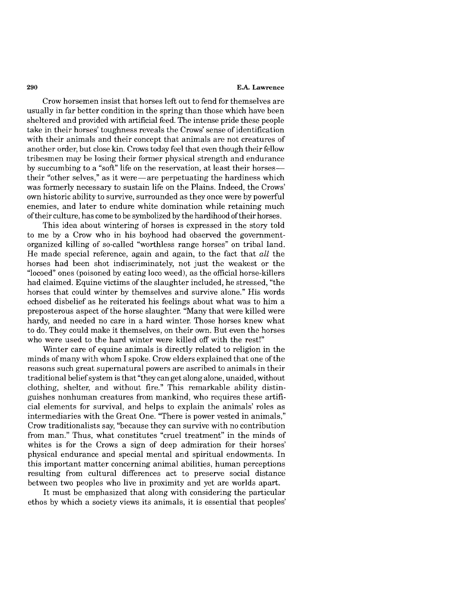Crow horsemen insist that horses left out to fend for themselves are usually in far better condition in the spring than those which have been sheltered and provided with artificial feed. The intense pride these people take in their horses' toughness reveals the Crows' sense of identification with their animals and their concept that animals are not creatures of another order, but close kin. Crows today feel that even though their fellow tribesmen may be losing their former physical strength and endurance by succumbing to a "soft" life on the reservation, at least their horsestheir "other selves," as it were—are perpetuating the hardiness which was formerly necessary to sustain life on the Plains. Indeed, the Crows' own historic ability to survive, surrounded as they once were by powerful enemies, and later to endure white domination while retaining much of their culture, has come to be symbolized by the hardihood of their horses.

This idea about wintering of horses is expressed in the story told to me by a Crow who in his boyhood had observed the governmentorganized killing of so-called "worthless range horses" on tribal land. He made special reference, again and again, to the fact that *all* the horses had been shot indiscriminately, not just the weakest or the "locoed" ones (poisoned by eating loco weed), as the official horse-killers had claimed. Equine victims of the slaughter included, he stressed, "the horses that could winter by themselves and survive alone." His words echoed disbelief as he reiterated his feelings about what was to him a preposterous aspect of the horse slaughter. "Many that were killed were hardy, and needed no care in a hard winter. Those horses knew what to do. They could make it themselves, on their own. But even the horses who were used to the hard winter were killed off with the rest!"

Winter care of equine animals is directly related to religion in the minds of many with whom I spoke. Crow elders explained that one of the reasons such great supernatural powers are ascribed to animals in their traditional belief system is that "they can get along alone, unaided, without clothing, shelter, and without fire." This remarkable ability distinguishes nonhuman creatures from mankind, who requires these artificial elements for survival, and helps to explain the animals' roles as intermediaries with the Great One. "There is power vested in animals," Crow traditionalists say, "because they can survive with no contribution from man." Thus, what constitutes "cruel treatment" in the minds of whites is for the Crows a sign of deep admiration for their horses' physical endurance and special mental and spiritual endowments. In this important matter concerning animal abilities, human perceptions resulting from cultural differences act to preserve social distance between two peoples who live in proximity and yet are worlds apart.

It must be emphasized that along with considering the particular ethos by which a society views its animals, it is essential that peoples'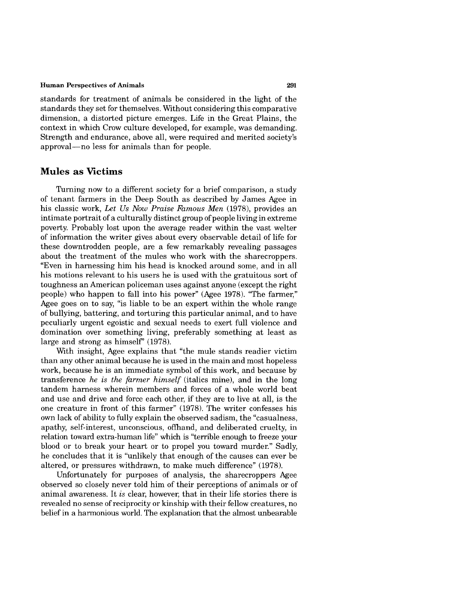standards for treatment of animals be considered in the light of the standards they set for themselves. Without considering this comparative dimension, a distorted picture emerges. Life in the Great Plains, the context in which Crow culture developed, for example, was demanding. Strength and endurance, above all, were required and merited society's approval-no less for animals than for people.

# **Mules as Victims**

Turning now to a different society for a brief comparison, a study of tenant farmers in the Deep South as described by James Agee in his classic work, *Let Us Now Praise Famous Men* (1978), provides an intimate portrait of a culturally distinct group of people living in extreme poverty. Probably lost upon the average reader within the vast welter of information the writer gives about every observable detail of life for these downtrodden people, are a few remarkably revealing passages about the treatment of the mules who work with the sharecroppers. "Even in harnessing him his head is knocked around some, and in all his motions relevant to his users he is used with the gratuitous sort of toughness an American policeman uses against anyone (except the right people) who happen to fall into his power" (Agee 1978). "The farmer," Agee goes on to say, "is liable to be an expert within the whole range of bullying, battering, and torturing this particular animal, and to have peculiarly urgent egoistic and sexual needs to exert full violence and domination over something living, preferably something at least as large and strong as himself' (1978).

With insight, Agee explains that "the mule stands readier victim than any other animal because he is used in the main and most hopeless work, because he is an immediate symbol of this work, and because by transference *he is the farmer himself* (italics mine), and in the long tandem harness wherein members and forces of a whole world beat and use and drive and force each other, if they are to live at all, is the one creature in front of this farmer" (1978). The writer confesses his own lack of ability to fully explain the observed sadism, the "casualness, apathy, self-interest, unconscious, offhand, and deliberated cruelty, in relation toward extra-human life" which is "terrible enough to freeze your blood or to break your heart or to propel you toward murder." Sadly, he concludes that it is "unlikely that enough of the causes can ever be altered, or pressures withdrawn, to make much difference" (1978).

Unfortunately for purposes of analysis, the sharecroppers Agee observed so closely never told him of their perceptions of animals or of animal awareness. It *is* clear, however, that in their life stories there is revealed no sense of reciprocity or kinship with their fellow creatures, no belief in a harmonious world. The explanation that the almost unbearable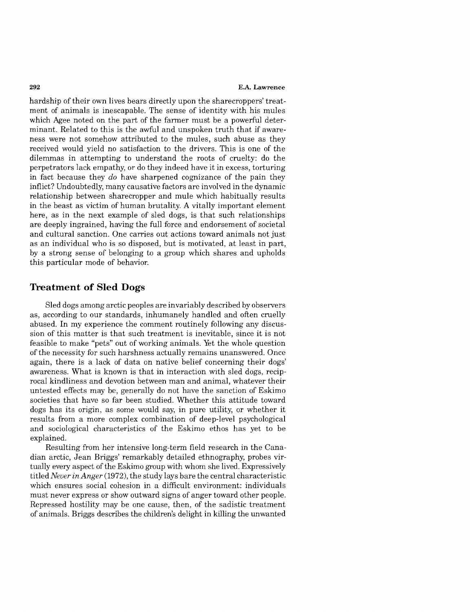292 E.A. Lawrence

hardship of their own lives bears directly upon the sharecroppers' treatment of animals is inescapable. The sense of identity with his mules which Agee noted on the part of the farmer must be a powerful determinant. Related to this is the awful and unspoken truth that if awareness were not somehow attributed to the mules, such abuse as they received would yield no satisfaction to the drivers. This is one of the dilemmas in attempting to understand the roots of cruelty: do the perpetrators lack empathy, or do they indeed have it in excess, torturing in fact because they *do* have sharpened cognizance of the pain they inflict? Undoubtedly, many causative factors are involved in the dynamic relationship between sharecropper and mule which habitually results in the beast as victim of human brutality. A vitally important element here, as in the next example of sled dogs, is that such relationships are deeply ingrained, having the full force and endorsement of societal and cultural sanction. One carries out actions toward animals not just as an individual who is so disposed, but is motivated, at least in part, by a strong sense of belonging to a group which shares and upholds this particular mode of behavior.

# **Treatment of Sled Dogs**

Sled dogs among arctic peoples are invariably described by observers as, according to our standards, inhumanely handled and often cruelly abused. In my experience the comment routinely following any discussion of this matter is that such treatment is inevitable, since it is not feasible to make "pets" out of working animals. Yet the whole question of the necessity for such harshness actually remains unanswered. Once again, there is a lack of data on native belief concerning their dogs' awareness. What is known is that in interaction with sled dogs, reciprocal kindliness and devotion between man and animal, whatever their untested effects may be, generally do not have the sanction of Eskimo societies that have so far been studied. Whether this attitude toward dogs has its origin, as some would say, in pure utility, or whether it results from a more complex combination of deep-level psychological and sociological characteristics of the Eskimo ethos has yet to be explained.

Resulting from her intensive long-term field research in the Canadian arctic, Jean Briggs' remarkably detailed ethnography, probes virtually every aspect of the Eskimo group with whom she lived. Expressively titled *Never in Anger* (1972), the study lays bare the central characteristic which ensures social cohesion in a difficult environment: individuals must never express or show outward signs of anger toward other people. Repressed hostility may be one cause, then, of the sadistic treatment of animals. Briggs describes the children's delight in killing the unwanted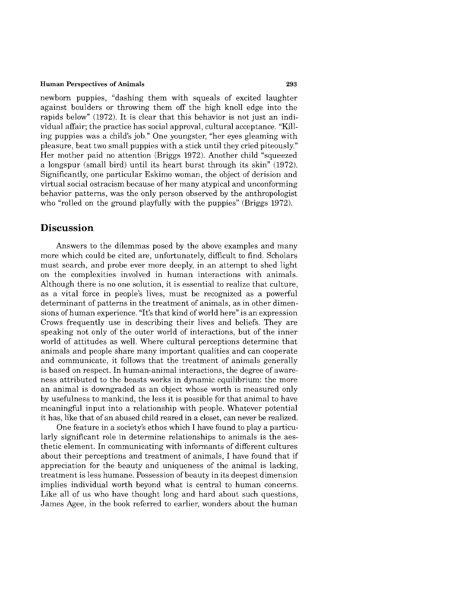newborn puppies, "dashing them with squeals of excited laughter against boulders or throwing them off the high knoll edge into the rapids below" (1972). It is clear that this behavior is not just an individual affair; the practice has social approval, cultural acceptance. "Killing puppies was a child's job." One youngster, "her eyes gleaming with pleasure, beat two small puppies with a stick until they cried piteously." Her mother paid no attention (Briggs 1972). Another child "squeezed a longspur (small bird) until its heart burst through its skin" (1972). Significantly, one particular Eskimo woman, the object of derision and virtual social ostracism because of her many atypical and unconforming behavior patterns, was the only person observed by the anthropologist who "rolled on the ground playfully with the puppies" (Briggs 1972).

# **Discussion**

Answers to the dilemmas posed by the above examples and many more which could be cited are, unfortunately, difficult to find. Scholars must search, and probe ever more deeply, in an attempt to shed light on the complexities involved in human interactions with animals. Although there is no one solution, it is essential to realize that culture, as a vital force in people's lives, must be recognized as a powerful determinant of patterns in the treatment of animals, as in other dimensions of human experience. "It's that kind of world here" is an expression Crows frequently use in describing their lives and beliefs. They are speaking not only of the outer world of interactions, but of the inner world of attitudes as well. Where cultural perceptions determine that animals and people share many important qualities and can cooperate and communicate, it follows that the treatment of animals generally is based on respect. In human-animal interactions, the degree of awareness attributed to the beasts works in dynamic equilibrium: the more an animal is downgraded as an object whose worth is measured only by usefulness to mankind, the less it is possible for that animal to have meaningful input into a relationship with people. Whatever potential it has, like that of an abused child reared in a closet, can never be realized.

One feature in a society's ethos which I have found to play a particularly significant role in determine relationships to animals is the aesthetic element. In communicating with informants of different cultures about their perceptions and treatment of animals, I have found that if appreciation for the beauty and uniqueness of the animal is lacking, treatment is less humane. Possession of beauty in its deepest dimension implies individual worth beyond what is central to human concerns. Like all of us who have thought long and hard about such questions, James Agee, in the book referred to earlier, wonders about the human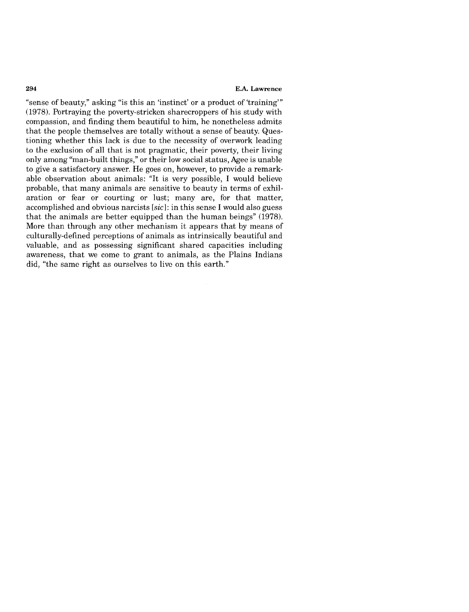### 294 E.A Lawrence

"sense of beauty," asking "is this an 'instinct' or a product of 'training'" (1978). Portraying the poverty-stricken sharecroppers of his study with compassion, and finding them beautiful to him, he nonetheless admits that the people themselves are totally without a sense of beauty. Questioning whether this lack is due to the necessity of overwork leading to the exclusion of all that is not pragmatic, their poverty, their living only among "man-built things," or their low social status, Agee is unable to give a satisfactory answer. He goes on, however, to provide a remarkable observation about animals: "It is very possible, I would believe probable, that many animals are sensitive to beauty in terms of exhilaration or fear or courting or lust; many are, for that matter, accomplished and obvious narcists [sic]: in this sense I would also guess that the animals are better equipped than the human beings" (1978). More than through any other mechanism it appears that by means of culturally-defined perceptions of animals as intrinsically beautiful and valuable, and as possessing significant shared capacities including awareness, that we come to grant to animals, as the Plains Indians did, "the same right as ourselves to live on this earth."